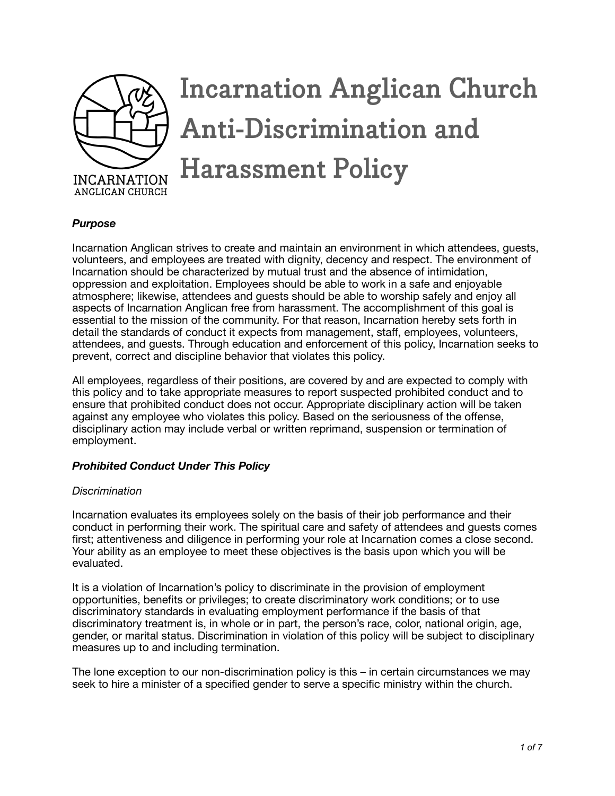

# **Incarnation Anglican Church Anti-Discrimination and Harassment Policy**

## *Purpose*

Incarnation Anglican strives to create and maintain an environment in which attendees, guests, volunteers, and employees are treated with dignity, decency and respect. The environment of Incarnation should be characterized by mutual trust and the absence of intimidation, oppression and exploitation. Employees should be able to work in a safe and enjoyable atmosphere; likewise, attendees and guests should be able to worship safely and enjoy all aspects of Incarnation Anglican free from harassment. The accomplishment of this goal is essential to the mission of the community. For that reason, Incarnation hereby sets forth in detail the standards of conduct it expects from management, staff, employees, volunteers, attendees, and guests. Through education and enforcement of this policy, Incarnation seeks to prevent, correct and discipline behavior that violates this policy.

All employees, regardless of their positions, are covered by and are expected to comply with this policy and to take appropriate measures to report suspected prohibited conduct and to ensure that prohibited conduct does not occur. Appropriate disciplinary action will be taken against any employee who violates this policy. Based on the seriousness of the offense, disciplinary action may include verbal or written reprimand, suspension or termination of employment.

## *Prohibited Conduct Under This Policy*

## *Discrimination*

Incarnation evaluates its employees solely on the basis of their job performance and their conduct in performing their work. The spiritual care and safety of attendees and guests comes first; attentiveness and diligence in performing your role at Incarnation comes a close second. Your ability as an employee to meet these objectives is the basis upon which you will be evaluated.

It is a violation of Incarnation's policy to discriminate in the provision of employment opportunities, benefits or privileges; to create discriminatory work conditions; or to use discriminatory standards in evaluating employment performance if the basis of that discriminatory treatment is, in whole or in part, the person's race, color, national origin, age, gender, or marital status. Discrimination in violation of this policy will be subject to disciplinary measures up to and including termination.

The lone exception to our non-discrimination policy is this – in certain circumstances we may seek to hire a minister of a specified gender to serve a specific ministry within the church.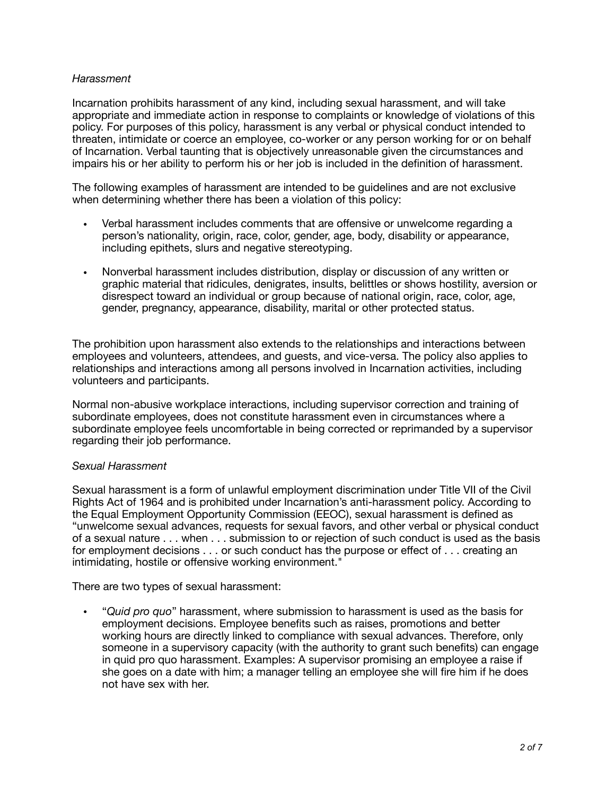## *Harassment*

Incarnation prohibits harassment of any kind, including sexual harassment, and will take appropriate and immediate action in response to complaints or knowledge of violations of this policy. For purposes of this policy, harassment is any verbal or physical conduct intended to threaten, intimidate or coerce an employee, co-worker or any person working for or on behalf of Incarnation. Verbal taunting that is objectively unreasonable given the circumstances and impairs his or her ability to perform his or her job is included in the definition of harassment.

The following examples of harassment are intended to be guidelines and are not exclusive when determining whether there has been a violation of this policy:

- Verbal harassment includes comments that are offensive or unwelcome regarding a person's nationality, origin, race, color, gender, age, body, disability or appearance, including epithets, slurs and negative stereotyping.
- Nonverbal harassment includes distribution, display or discussion of any written or graphic material that ridicules, denigrates, insults, belittles or shows hostility, aversion or disrespect toward an individual or group because of national origin, race, color, age, gender, pregnancy, appearance, disability, marital or other protected status.

The prohibition upon harassment also extends to the relationships and interactions between employees and volunteers, attendees, and guests, and vice-versa. The policy also applies to relationships and interactions among all persons involved in Incarnation activities, including volunteers and participants.

Normal non-abusive workplace interactions, including supervisor correction and training of subordinate employees, does not constitute harassment even in circumstances where a subordinate employee feels uncomfortable in being corrected or reprimanded by a supervisor regarding their job performance.

## *Sexual Harassment*

Sexual harassment is a form of unlawful employment discrimination under Title VII of the Civil Rights Act of 1964 and is prohibited under Incarnation's anti-harassment policy. According to the Equal Employment Opportunity Commission (EEOC), sexual harassment is defined as "unwelcome sexual advances, requests for sexual favors, and other verbal or physical conduct of a sexual nature . . . when . . . submission to or rejection of such conduct is used as the basis for employment decisions . . . or such conduct has the purpose or effect of . . . creating an intimidating, hostile or offensive working environment."

There are two types of sexual harassment:

• "*Quid pro quo*" harassment, where submission to harassment is used as the basis for employment decisions. Employee benefits such as raises, promotions and better working hours are directly linked to compliance with sexual advances. Therefore, only someone in a supervisory capacity (with the authority to grant such benefits) can engage in quid pro quo harassment. Examples: A supervisor promising an employee a raise if she goes on a date with him; a manager telling an employee she will fire him if he does not have sex with her.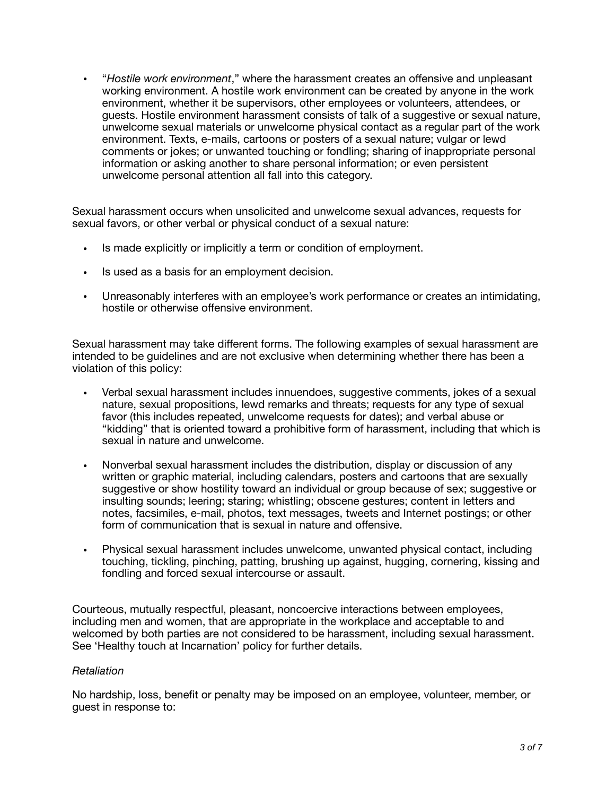• "*Hostile work environment*," where the harassment creates an offensive and unpleasant working environment. A hostile work environment can be created by anyone in the work environment, whether it be supervisors, other employees or volunteers, attendees, or guests. Hostile environment harassment consists of talk of a suggestive or sexual nature, unwelcome sexual materials or unwelcome physical contact as a regular part of the work environment. Texts, e-mails, cartoons or posters of a sexual nature; vulgar or lewd comments or jokes; or unwanted touching or fondling; sharing of inappropriate personal information or asking another to share personal information; or even persistent unwelcome personal attention all fall into this category.

Sexual harassment occurs when unsolicited and unwelcome sexual advances, requests for sexual favors, or other verbal or physical conduct of a sexual nature:

- Is made explicitly or implicitly a term or condition of employment.
- Is used as a basis for an employment decision.
- Unreasonably interferes with an employee's work performance or creates an intimidating, hostile or otherwise offensive environment.

Sexual harassment may take different forms. The following examples of sexual harassment are intended to be guidelines and are not exclusive when determining whether there has been a violation of this policy:

- Verbal sexual harassment includes innuendoes, suggestive comments, jokes of a sexual nature, sexual propositions, lewd remarks and threats; requests for any type of sexual favor (this includes repeated, unwelcome requests for dates); and verbal abuse or "kidding" that is oriented toward a prohibitive form of harassment, including that which is sexual in nature and unwelcome.
- Nonverbal sexual harassment includes the distribution, display or discussion of any written or graphic material, including calendars, posters and cartoons that are sexually suggestive or show hostility toward an individual or group because of sex; suggestive or insulting sounds; leering; staring; whistling; obscene gestures; content in letters and notes, facsimiles, e-mail, photos, text messages, tweets and Internet postings; or other form of communication that is sexual in nature and offensive.
- Physical sexual harassment includes unwelcome, unwanted physical contact, including touching, tickling, pinching, patting, brushing up against, hugging, cornering, kissing and fondling and forced sexual intercourse or assault.

Courteous, mutually respectful, pleasant, noncoercive interactions between employees, including men and women, that are appropriate in the workplace and acceptable to and welcomed by both parties are not considered to be harassment, including sexual harassment. See 'Healthy touch at Incarnation' policy for further details.

## *Retaliation*

No hardship, loss, benefit or penalty may be imposed on an employee, volunteer, member, or guest in response to: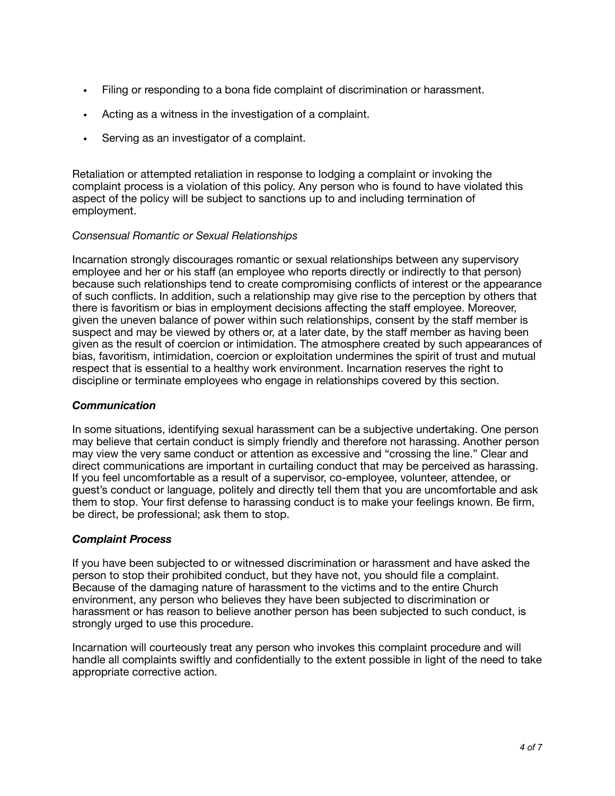- Filing or responding to a bona fide complaint of discrimination or harassment.
- Acting as a witness in the investigation of a complaint.
- Serving as an investigator of a complaint.

Retaliation or attempted retaliation in response to lodging a complaint or invoking the complaint process is a violation of this policy. Any person who is found to have violated this aspect of the policy will be subject to sanctions up to and including termination of employment.

## *Consensual Romantic or Sexual Relationships*

Incarnation strongly discourages romantic or sexual relationships between any supervisory employee and her or his staff (an employee who reports directly or indirectly to that person) because such relationships tend to create compromising conflicts of interest or the appearance of such conflicts. In addition, such a relationship may give rise to the perception by others that there is favoritism or bias in employment decisions affecting the staff employee. Moreover, given the uneven balance of power within such relationships, consent by the staff member is suspect and may be viewed by others or, at a later date, by the staff member as having been given as the result of coercion or intimidation. The atmosphere created by such appearances of bias, favoritism, intimidation, coercion or exploitation undermines the spirit of trust and mutual respect that is essential to a healthy work environment. Incarnation reserves the right to discipline or terminate employees who engage in relationships covered by this section.

## *Communication*

In some situations, identifying sexual harassment can be a subjective undertaking. One person may believe that certain conduct is simply friendly and therefore not harassing. Another person may view the very same conduct or attention as excessive and "crossing the line." Clear and direct communications are important in curtailing conduct that may be perceived as harassing. If you feel uncomfortable as a result of a supervisor, co-employee, volunteer, attendee, or guest's conduct or language, politely and directly tell them that you are uncomfortable and ask them to stop. Your first defense to harassing conduct is to make your feelings known. Be firm, be direct, be professional; ask them to stop.

## *Complaint Process*

If you have been subjected to or witnessed discrimination or harassment and have asked the person to stop their prohibited conduct, but they have not, you should file a complaint. Because of the damaging nature of harassment to the victims and to the entire Church environment, any person who believes they have been subjected to discrimination or harassment or has reason to believe another person has been subjected to such conduct, is strongly urged to use this procedure.

Incarnation will courteously treat any person who invokes this complaint procedure and will handle all complaints swiftly and confidentially to the extent possible in light of the need to take appropriate corrective action.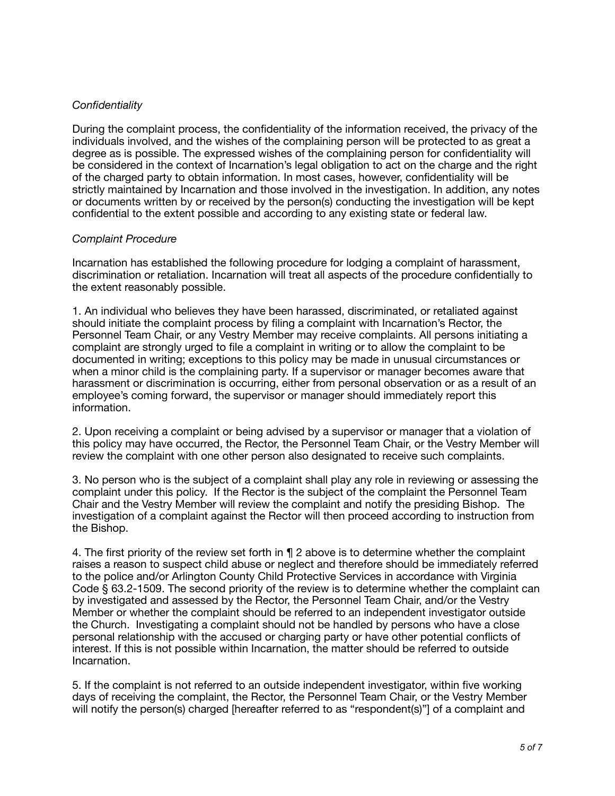## *Confidentiality*

During the complaint process, the confidentiality of the information received, the privacy of the individuals involved, and the wishes of the complaining person will be protected to as great a degree as is possible. The expressed wishes of the complaining person for confidentiality will be considered in the context of Incarnation's legal obligation to act on the charge and the right of the charged party to obtain information. In most cases, however, confidentiality will be strictly maintained by Incarnation and those involved in the investigation. In addition, any notes or documents written by or received by the person(s) conducting the investigation will be kept confidential to the extent possible and according to any existing state or federal law.

## *Complaint Procedure*

Incarnation has established the following procedure for lodging a complaint of harassment, discrimination or retaliation. Incarnation will treat all aspects of the procedure confidentially to the extent reasonably possible.

1. An individual who believes they have been harassed, discriminated, or retaliated against should initiate the complaint process by filing a complaint with Incarnation's Rector, the Personnel Team Chair, or any Vestry Member may receive complaints. All persons initiating a complaint are strongly urged to file a complaint in writing or to allow the complaint to be documented in writing; exceptions to this policy may be made in unusual circumstances or when a minor child is the complaining party. If a supervisor or manager becomes aware that harassment or discrimination is occurring, either from personal observation or as a result of an employee's coming forward, the supervisor or manager should immediately report this information.

2. Upon receiving a complaint or being advised by a supervisor or manager that a violation of this policy may have occurred, the Rector, the Personnel Team Chair, or the Vestry Member will review the complaint with one other person also designated to receive such complaints.

3. No person who is the subject of a complaint shall play any role in reviewing or assessing the complaint under this policy. If the Rector is the subject of the complaint the Personnel Team Chair and the Vestry Member will review the complaint and notify the presiding Bishop. The investigation of a complaint against the Rector will then proceed according to instruction from the Bishop.

4. The first priority of the review set forth in ¶ 2 above is to determine whether the complaint raises a reason to suspect child abuse or neglect and therefore should be immediately referred to the police and/or Arlington County Child Protective Services in accordance with Virginia Code § 63.2-1509. The second priority of the review is to determine whether the complaint can by investigated and assessed by the Rector, the Personnel Team Chair, and/or the Vestry Member or whether the complaint should be referred to an independent investigator outside the Church. Investigating a complaint should not be handled by persons who have a close personal relationship with the accused or charging party or have other potential conflicts of interest. If this is not possible within Incarnation, the matter should be referred to outside Incarnation.

5. If the complaint is not referred to an outside independent investigator, within five working days of receiving the complaint, the Rector, the Personnel Team Chair, or the Vestry Member will notify the person(s) charged [hereafter referred to as "respondent(s)"] of a complaint and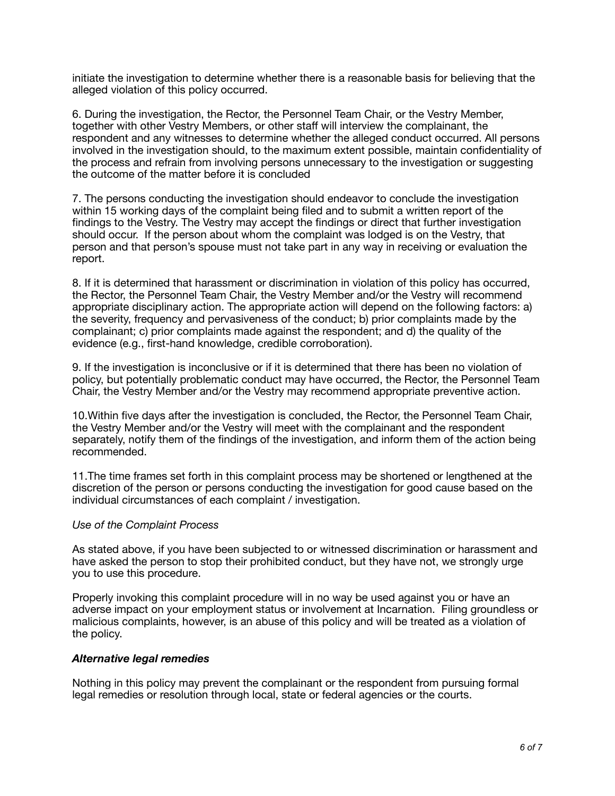initiate the investigation to determine whether there is a reasonable basis for believing that the alleged violation of this policy occurred.

6. During the investigation, the Rector, the Personnel Team Chair, or the Vestry Member, together with other Vestry Members, or other staff will interview the complainant, the respondent and any witnesses to determine whether the alleged conduct occurred. All persons involved in the investigation should, to the maximum extent possible, maintain confidentiality of the process and refrain from involving persons unnecessary to the investigation or suggesting the outcome of the matter before it is concluded

7. The persons conducting the investigation should endeavor to conclude the investigation within 15 working days of the complaint being filed and to submit a written report of the findings to the Vestry. The Vestry may accept the findings or direct that further investigation should occur. If the person about whom the complaint was lodged is on the Vestry, that person and that person's spouse must not take part in any way in receiving or evaluation the report.

8. If it is determined that harassment or discrimination in violation of this policy has occurred, the Rector, the Personnel Team Chair, the Vestry Member and/or the Vestry will recommend appropriate disciplinary action. The appropriate action will depend on the following factors: a) the severity, frequency and pervasiveness of the conduct; b) prior complaints made by the complainant; c) prior complaints made against the respondent; and d) the quality of the evidence (e.g., first-hand knowledge, credible corroboration).

9. If the investigation is inconclusive or if it is determined that there has been no violation of policy, but potentially problematic conduct may have occurred, the Rector, the Personnel Team Chair, the Vestry Member and/or the Vestry may recommend appropriate preventive action.

10.Within five days after the investigation is concluded, the Rector, the Personnel Team Chair, the Vestry Member and/or the Vestry will meet with the complainant and the respondent separately, notify them of the findings of the investigation, and inform them of the action being recommended.

11.The time frames set forth in this complaint process may be shortened or lengthened at the discretion of the person or persons conducting the investigation for good cause based on the individual circumstances of each complaint / investigation.

## *Use of the Complaint Process*

As stated above, if you have been subjected to or witnessed discrimination or harassment and have asked the person to stop their prohibited conduct, but they have not, we strongly urge you to use this procedure.

Properly invoking this complaint procedure will in no way be used against you or have an adverse impact on your employment status or involvement at Incarnation. Filing groundless or malicious complaints, however, is an abuse of this policy and will be treated as a violation of the policy.

## *Alternative legal remedies*

Nothing in this policy may prevent the complainant or the respondent from pursuing formal legal remedies or resolution through local, state or federal agencies or the courts.